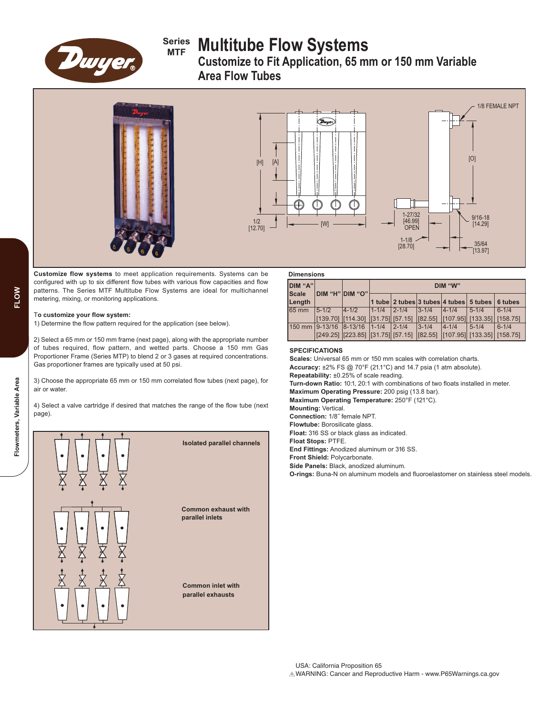

# **Series MTF Multitube Flow Systems**

**Customize to Fit Application, 65 mm or 150 mm Variable Area Flow Tubes**





**Customize flow systems** to meet application requirements. Systems can be configured with up to six different flow tubes with various flow capacities and flow patterns. The Series MTF Multitube Flow Systems are ideal for multichannel metering, mixing, or monitoring applications.

### T**o customize your flow system:**

1) Determine the flow pattern required for the application (see below).

2) Select a 65 mm or 150 mm frame (next page), along with the appropriate number of tubes required, flow pattern, and wetted parts. Choose a 150 mm Gas Proportioner Frame (Series MTP) to blend 2 or 3 gases at required concentrations. Gas proportioner frames are typically used at 50 psi.

3) Choose the appropriate 65 mm or 150 mm correlated flow tubes (next page), for air or water.

4) Select a valve cartridge if desired that matches the range of the flow tube (next page).



| <b>Dimensions</b>       |           |                                                                                       |            |             |             |                                                       |                              |           |
|-------------------------|-----------|---------------------------------------------------------------------------------------|------------|-------------|-------------|-------------------------------------------------------|------------------------------|-----------|
| DIM "A"<br><b>Scale</b> |           | DIM "H" DIM "O"                                                                       | DIM "W"    |             |             |                                                       |                              |           |
| Length                  |           |                                                                                       |            |             |             | $ 1$ tube $ 2$ tubes $ 3$ tubes $ 4$ tubes $ 5$ tubes |                              | 6 tubes   |
| 65 mm                   | $5 - 1/2$ | $ 4 - 1/2 $                                                                           | $1 - 1/4$  | $2 - 1/4$   | $ 3 - 1/4 $ | $ 4 - 1/4 $                                           | $5 - 1/4$                    | $6 - 1/4$ |
|                         |           | $[139.70]$ $[114.30]$ $[31.75]$ $[57.15]$ $[82.55]$                                   |            |             |             |                                                       | $[107.95]$ [133.35] [158.75] |           |
| 150 mm 9-13/16 8-13/16  |           |                                                                                       | $11 - 1/4$ | $ 2 - 1/4 $ | $ 3 - 1/4 $ | $14 - 1/4$                                            | $5 - 1/4$                    | $6 - 1/4$ |
|                         |           | $[249.25]$ $[223.85]$ $[31.75]$ $[57.15]$ $[182.55]$ $[107.95]$ $[133.35]$ $[158.75]$ |            |             |             |                                                       |                              |           |

# **SPECIFICATIONS**

**Scales:** Universal 65 mm or 150 mm scales with correlation charts. **Accuracy:** ±2% FS @ 70°F (21.1°C) and 14.7 psia (1 atm absolute). **Repeatability:** ±0.25% of scale reading. **Turn-down Ratio:** 10:1, 20:1 with combinations of two floats installed in meter. **Maximum Operating Pressure:** 200 psig (13.8 bar). **Maximum Operating Temperature:** 250°F (121°C). **Mounting:** Vertical. **Connection:** 1/8˝ female NPT. **Flowtube:** Borosilicate glass. **Float:** 316 SS or black glass as indicated. **Float Stops:** PTFE. **End Fittings:** Anodized aluminum or 316 SS. **Front Shield:** Polycarbonate. **Side Panels:** Black, anodized aluminum. **O-rings:** Buna-N on aluminum models and fluoroelastomer on stainless steel models.